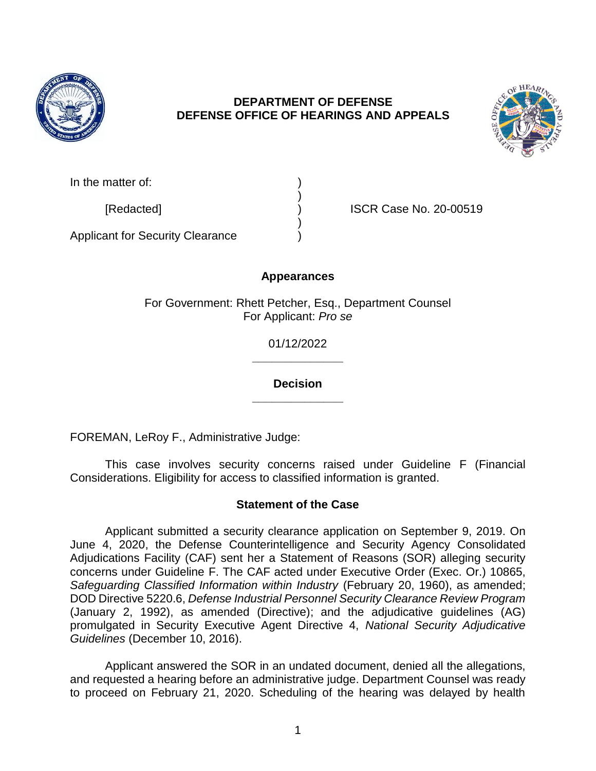

# **DEPARTMENT OF DEFENSE DEFENSE OFFICE OF HEARINGS AND APPEALS**



| In the matter of: |  |
|-------------------|--|
|                   |  |

[Redacted] ) ISCR Case No. 20-00519

Applicant for Security Clearance )

# **Appearances**

)

)

For Government: Rhett Petcher, Esq., Department Counsel For Applicant: *Pro se*

> **\_\_\_\_\_\_\_\_\_\_\_\_\_\_** 01/12/2022

> **\_\_\_\_\_\_\_\_\_\_\_\_\_\_ Decision**

FOREMAN, LeRoy F., Administrative Judge:

This case involves security concerns raised under Guideline F (Financial Considerations. Eligibility for access to classified information is granted.

# **Statement of the Case**

Applicant submitted a security clearance application on September 9, 2019. On June 4, 2020, the Defense Counterintelligence and Security Agency Consolidated Adjudications Facility (CAF) sent her a Statement of Reasons (SOR) alleging security concerns under Guideline F. The CAF acted under Executive Order (Exec. Or.) 10865, *Safeguarding Classified Information within Industry* (February 20, 1960), as amended; DOD Directive 5220.6, *Defense Industrial Personnel Security Clearance Review Program* (January 2, 1992), as amended (Directive); and the adjudicative guidelines (AG) promulgated in Security Executive Agent Directive 4, *National Security Adjudicative Guidelines* (December 10, 2016).

Applicant answered the SOR in an undated document, denied all the allegations, and requested a hearing before an administrative judge. Department Counsel was ready to proceed on February 21, 2020. Scheduling of the hearing was delayed by health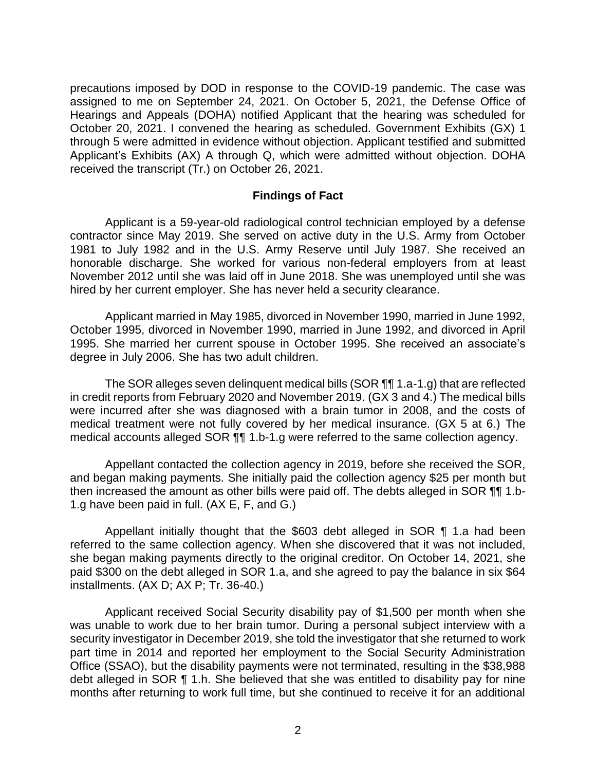precautions imposed by DOD in response to the COVID-19 pandemic. The case was assigned to me on September 24, 2021. On October 5, 2021, the Defense Office of Hearings and Appeals (DOHA) notified Applicant that the hearing was scheduled for October 20, 2021. I convened the hearing as scheduled. Government Exhibits (GX) 1 through 5 were admitted in evidence without objection. Applicant testified and submitted Applicant's Exhibits (AX) A through Q, which were admitted without objection. DOHA received the transcript (Tr.) on October 26, 2021.

#### **Findings of Fact**

Applicant is a 59-year-old radiological control technician employed by a defense contractor since May 2019. She served on active duty in the U.S. Army from October 1981 to July 1982 and in the U.S. Army Reserve until July 1987. She received an honorable discharge. She worked for various non-federal employers from at least November 2012 until she was laid off in June 2018. She was unemployed until she was hired by her current employer. She has never held a security clearance.

Applicant married in May 1985, divorced in November 1990, married in June 1992, October 1995, divorced in November 1990, married in June 1992, and divorced in April 1995. She married her current spouse in October 1995. She received an associate's degree in July 2006. She has two adult children.

The SOR alleges seven delinquent medical bills (SOR ¶¶ 1.a-1.g) that are reflected in credit reports from February 2020 and November 2019. (GX 3 and 4.) The medical bills were incurred after she was diagnosed with a brain tumor in 2008, and the costs of medical treatment were not fully covered by her medical insurance. (GX 5 at 6.) The medical accounts alleged SOR ¶¶ 1.b-1.g were referred to the same collection agency.

Appellant contacted the collection agency in 2019, before she received the SOR, and began making payments. She initially paid the collection agency \$25 per month but then increased the amount as other bills were paid off. The debts alleged in SOR ¶¶ 1.b-1.g have been paid in full. (AX E, F, and G.)

Appellant initially thought that the \$603 debt alleged in SOR ¶ 1.a had been referred to the same collection agency. When she discovered that it was not included, she began making payments directly to the original creditor. On October 14, 2021, she paid \$300 on the debt alleged in SOR 1.a, and she agreed to pay the balance in six \$64 installments. (AX D; AX P; Tr. 36-40.)

Applicant received Social Security disability pay of \$1,500 per month when she was unable to work due to her brain tumor. During a personal subject interview with a security investigator in December 2019, she told the investigator that she returned to work part time in 2014 and reported her employment to the Social Security Administration Office (SSAO), but the disability payments were not terminated, resulting in the \$38,988 debt alleged in SOR ¶ 1.h. She believed that she was entitled to disability pay for nine months after returning to work full time, but she continued to receive it for an additional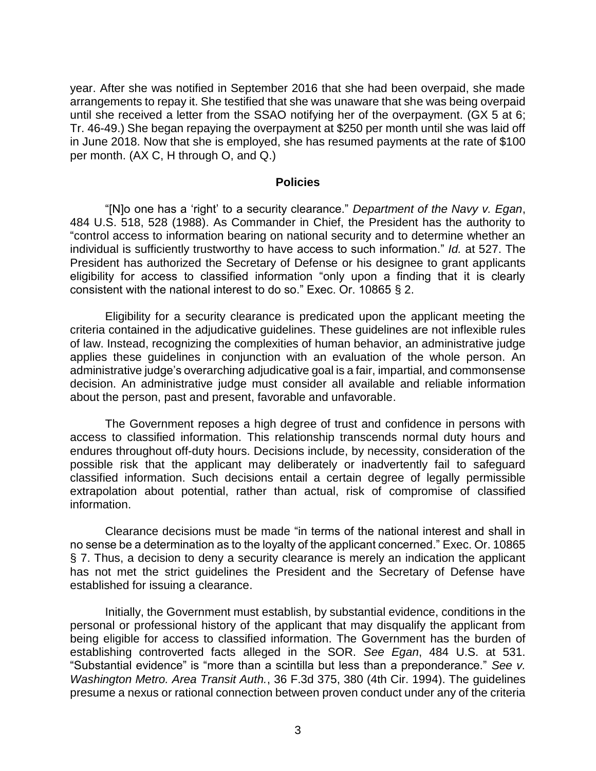year. After she was notified in September 2016 that she had been overpaid, she made arrangements to repay it. She testified that she was unaware that she was being overpaid until she received a letter from the SSAO notifying her of the overpayment. (GX 5 at 6; Tr. 46-49.) She began repaying the overpayment at \$250 per month until she was laid off in June 2018. Now that she is employed, she has resumed payments at the rate of \$100 per month. (AX C, H through O, and Q.)

#### **Policies**

"[N]o one has a 'right' to a security clearance." *Department of the Navy v. Egan*, 484 U.S. 518, 528 (1988). As Commander in Chief, the President has the authority to "control access to information bearing on national security and to determine whether an individual is sufficiently trustworthy to have access to such information." *Id.* at 527. The President has authorized the Secretary of Defense or his designee to grant applicants eligibility for access to classified information "only upon a finding that it is clearly consistent with the national interest to do so." Exec. Or. 10865 § 2.

Eligibility for a security clearance is predicated upon the applicant meeting the criteria contained in the adjudicative guidelines. These guidelines are not inflexible rules of law. Instead, recognizing the complexities of human behavior, an administrative judge applies these guidelines in conjunction with an evaluation of the whole person. An administrative judge's overarching adjudicative goal is a fair, impartial, and commonsense decision. An administrative judge must consider all available and reliable information about the person, past and present, favorable and unfavorable.

The Government reposes a high degree of trust and confidence in persons with access to classified information. This relationship transcends normal duty hours and endures throughout off-duty hours. Decisions include, by necessity, consideration of the possible risk that the applicant may deliberately or inadvertently fail to safeguard classified information. Such decisions entail a certain degree of legally permissible extrapolation about potential, rather than actual, risk of compromise of classified information.

Clearance decisions must be made "in terms of the national interest and shall in no sense be a determination as to the loyalty of the applicant concerned." Exec. Or. 10865 § 7. Thus, a decision to deny a security clearance is merely an indication the applicant has not met the strict guidelines the President and the Secretary of Defense have established for issuing a clearance.

Initially, the Government must establish, by substantial evidence, conditions in the personal or professional history of the applicant that may disqualify the applicant from being eligible for access to classified information. The Government has the burden of establishing controverted facts alleged in the SOR. *See Egan*, 484 U.S. at 531. "Substantial evidence" is "more than a scintilla but less than a preponderance." *See v. Washington Metro. Area Transit Auth.*, 36 F.3d 375, 380 (4th Cir. 1994). The guidelines presume a nexus or rational connection between proven conduct under any of the criteria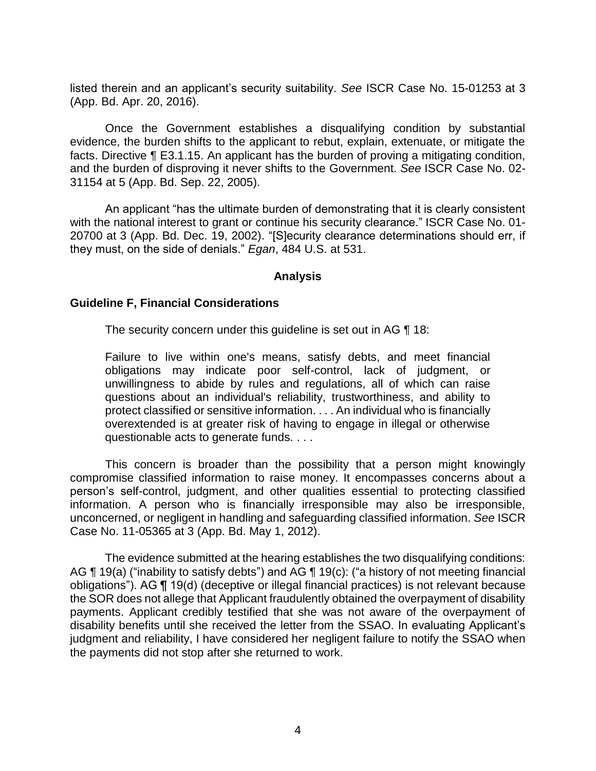listed therein and an applicant's security suitability. *See* ISCR Case No. 15-01253 at 3 (App. Bd. Apr. 20, 2016).

Once the Government establishes a disqualifying condition by substantial evidence, the burden shifts to the applicant to rebut, explain, extenuate, or mitigate the facts. Directive ¶ E3.1.15. An applicant has the burden of proving a mitigating condition, and the burden of disproving it never shifts to the Government. *See* ISCR Case No. 02- 31154 at 5 (App. Bd. Sep. 22, 2005).

An applicant "has the ultimate burden of demonstrating that it is clearly consistent with the national interest to grant or continue his security clearance." ISCR Case No. 01-20700 at 3 (App. Bd. Dec. 19, 2002). "[S]ecurity clearance determinations should err, if they must, on the side of denials." *Egan*, 484 U.S. at 531.

#### **Analysis**

### **Guideline F, Financial Considerations**

The security concern under this guideline is set out in AG ¶ 18:

Failure to live within one's means, satisfy debts, and meet financial obligations may indicate poor self-control, lack of judgment, or unwillingness to abide by rules and regulations, all of which can raise questions about an individual's reliability, trustworthiness, and ability to protect classified or sensitive information. . . . An individual who is financially overextended is at greater risk of having to engage in illegal or otherwise questionable acts to generate funds. . . .

This concern is broader than the possibility that a person might knowingly compromise classified information to raise money. It encompasses concerns about a person's self-control, judgment, and other qualities essential to protecting classified information. A person who is financially irresponsible may also be irresponsible, unconcerned, or negligent in handling and safeguarding classified information. *See* ISCR Case No. 11-05365 at 3 (App. Bd. May 1, 2012).

The evidence submitted at the hearing establishes the two disqualifying conditions: AG ¶ 19(a) ("inability to satisfy debts") and AG ¶ 19(c): ("a history of not meeting financial obligations"). AG ¶ 19(d) (deceptive or illegal financial practices) is not relevant because the SOR does not allege that Applicant fraudulently obtained the overpayment of disability payments. Applicant credibly testified that she was not aware of the overpayment of disability benefits until she received the letter from the SSAO. In evaluating Applicant's judgment and reliability, I have considered her negligent failure to notify the SSAO when the payments did not stop after she returned to work.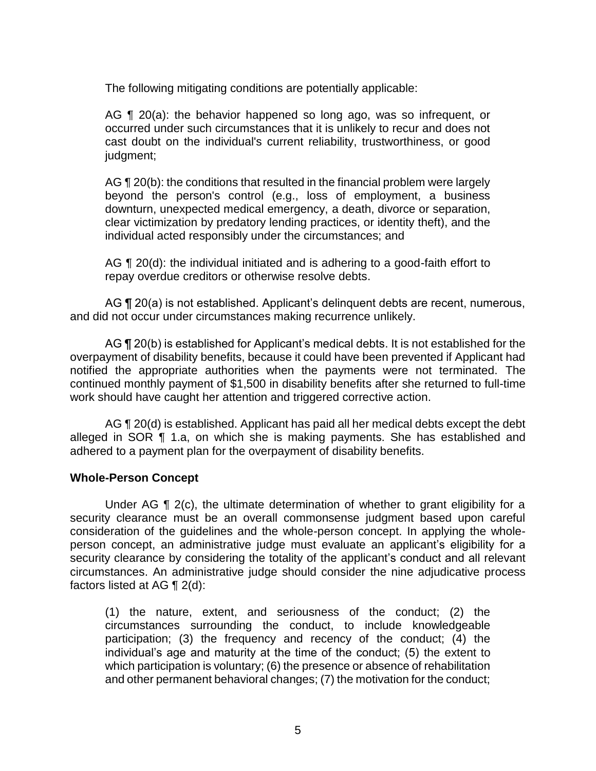The following mitigating conditions are potentially applicable:

AG ¶ 20(a): the behavior happened so long ago, was so infrequent, or occurred under such circumstances that it is unlikely to recur and does not cast doubt on the individual's current reliability, trustworthiness, or good judgment;

AG ¶ 20(b): the conditions that resulted in the financial problem were largely beyond the person's control (e.g., loss of employment, a business downturn, unexpected medical emergency, a death, divorce or separation, clear victimization by predatory lending practices, or identity theft), and the individual acted responsibly under the circumstances; and

AG  $\P$  20(d): the individual initiated and is adhering to a good-faith effort to repay overdue creditors or otherwise resolve debts.

AG ¶ 20(a) is not established. Applicant's delinquent debts are recent, numerous, and did not occur under circumstances making recurrence unlikely.

AG  $\P$  20(b) is established for Applicant's medical debts. It is not established for the overpayment of disability benefits, because it could have been prevented if Applicant had notified the appropriate authorities when the payments were not terminated. The continued monthly payment of \$1,500 in disability benefits after she returned to full-time work should have caught her attention and triggered corrective action.

AG ¶ 20(d) is established. Applicant has paid all her medical debts except the debt alleged in SOR ¶ 1.a, on which she is making payments. She has established and adhered to a payment plan for the overpayment of disability benefits.

## **Whole-Person Concept**

Under AG ¶ 2(c), the ultimate determination of whether to grant eligibility for a security clearance must be an overall commonsense judgment based upon careful consideration of the guidelines and the whole-person concept. In applying the wholeperson concept, an administrative judge must evaluate an applicant's eligibility for a security clearance by considering the totality of the applicant's conduct and all relevant circumstances. An administrative judge should consider the nine adjudicative process factors listed at AG ¶ 2(d):

(1) the nature, extent, and seriousness of the conduct; (2) the circumstances surrounding the conduct, to include knowledgeable participation; (3) the frequency and recency of the conduct; (4) the individual's age and maturity at the time of the conduct; (5) the extent to which participation is voluntary; (6) the presence or absence of rehabilitation and other permanent behavioral changes; (7) the motivation for the conduct;